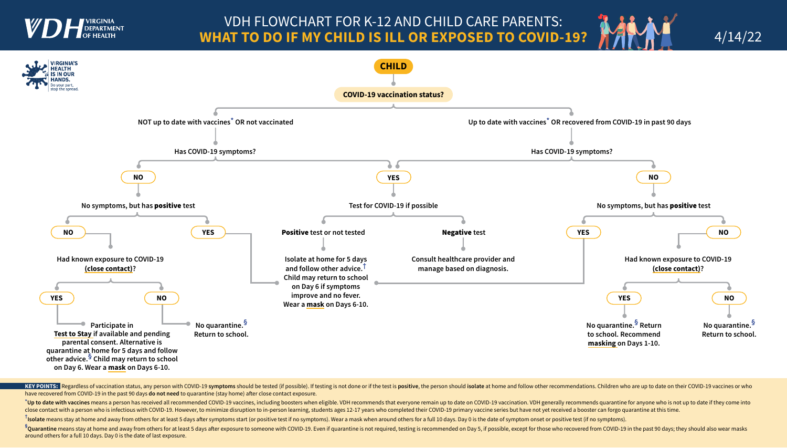

## VDH FLOWCHART FOR K-12 AND CHILD CARE PARENTS: **WHAT TO DO IF MY CHILD IS ILL OR EXPOSED TO COVID-19?**

KEY POINTS: Regardless of vaccination status, any person with COVID-19 symptoms should be tested (if possible). If testing is not done or if the test is positive, the person should isolate at home and follow other recommen have recovered from COVID-19 in the past 90 days **do not need** to quarantine (stay home) after close contact exposure.

<sup>\*</sup>Up to date with vaccines means a person has received all recommended COVID-19 vaccines, including boosters when eligible. VDH recommends that everyone remain up to date on COVID-19 vaccination. VDH generally recommends close contact with a person who is infectious with COVID-19. However, to minimize disruption to in-person learning, students ages 12-17 years who completed their COVID-19 primary vaccine series but have not yet received a

<sup>†</sup>Is<mark>olate</mark> means stay at home and away from others for at least 5 days after symptoms start (or positive test if no symptoms). Wear a mask when around others for a full 10 days. Day 0 is the date of symptom onset or posi

<sup>§</sup>Quarantine means stay at home and away from others for at least 5 days after exposure to someone with COVID-19. Even if quarantine is not required, testing is recommended on Day 5, if possible, except for those who reco around others for a full 10 days. Day 0 is the date of last exposure.





4/14/22

- 
- 
-